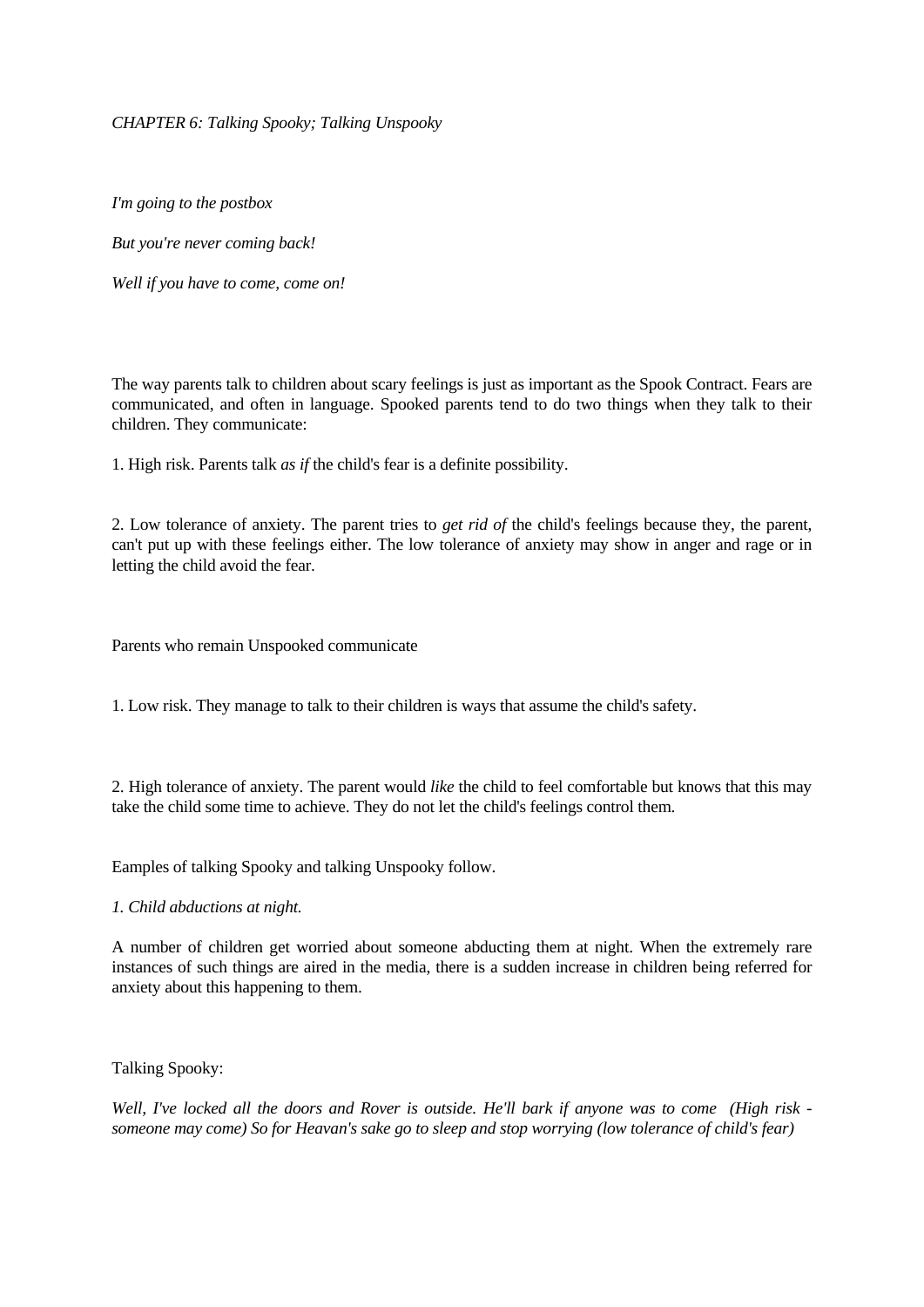*CHAPTER 6: Talking Spooky; Talking Unspooky*

*I'm going to the postbox* 

*But you're never coming back!* 

*Well if you have to come, come on!* 

The way parents talk to children about scary feelings is just as important as the Spook Contract. Fears are communicated, and often in language. Spooked parents tend to do two things when they talk to their children. They communicate:

1. High risk. Parents talk *as if* the child's fear is a definite possibility.

2. Low tolerance of anxiety. The parent tries to *get rid of* the child's feelings because they, the parent, can't put up with these feelings either. The low tolerance of anxiety may show in anger and rage or in letting the child avoid the fear.

Parents who remain Unspooked communicate

1. Low risk. They manage to talk to their children is ways that assume the child's safety.

2. High tolerance of anxiety. The parent would *like* the child to feel comfortable but knows that this may take the child some time to achieve. They do not let the child's feelings control them.

Eamples of talking Spooky and talking Unspooky follow.

*1. Child abductions at night.*

A number of children get worried about someone abducting them at night. When the extremely rare instances of such things are aired in the media, there is a sudden increase in children being referred for anxiety about this happening to them.

Talking Spooky:

*Well, I've locked all the doors and Rover is outside. He'll bark if anyone was to come (High risk someone may come) So for Heavan's sake go to sleep and stop worrying (low tolerance of child's fear)*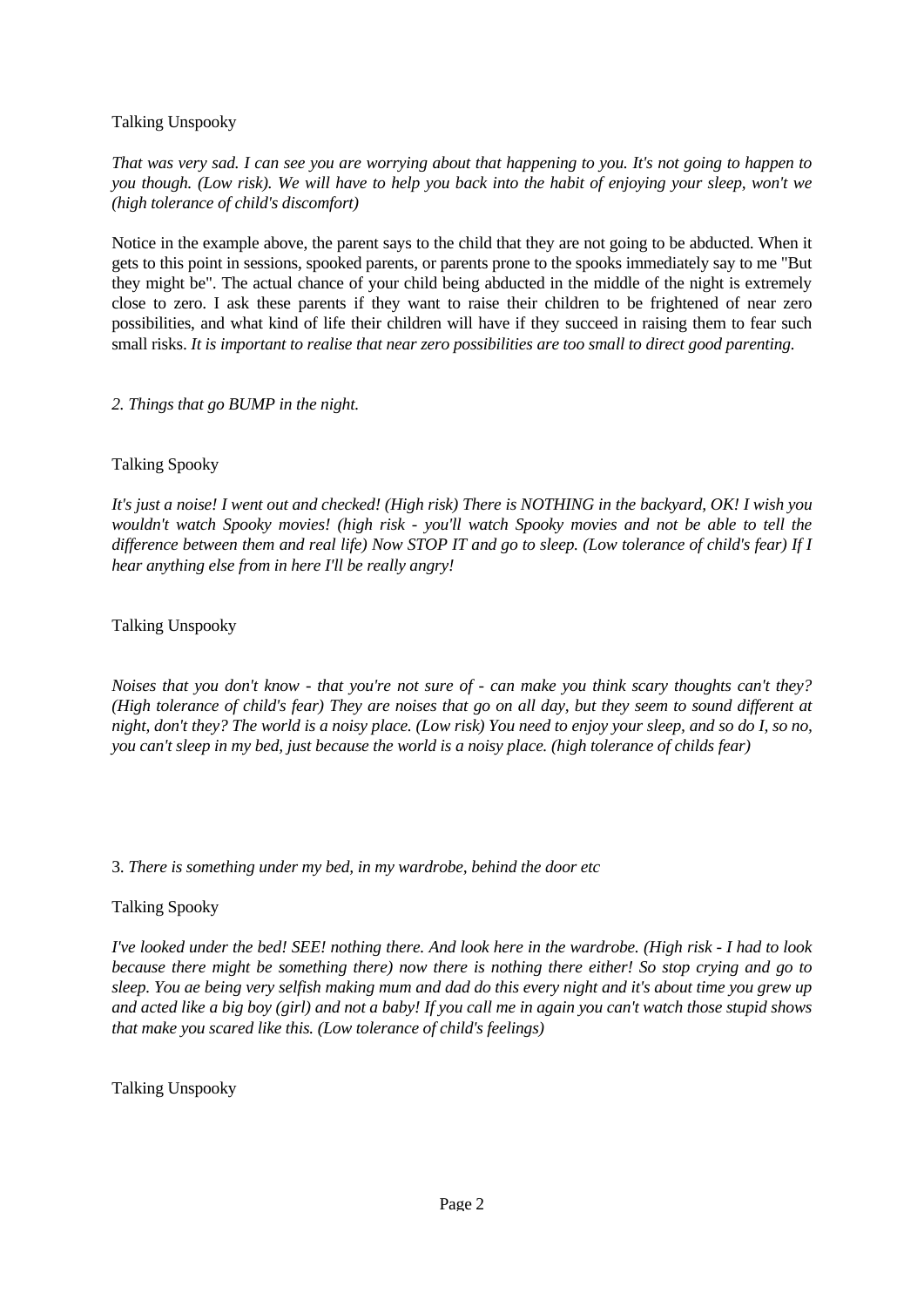Talking Unspooky

*That was very sad. I can see you are worrying about that happening to you. It's not going to happen to you though. (Low risk). We will have to help you back into the habit of enjoying your sleep, won't we (high tolerance of child's discomfort)* 

Notice in the example above, the parent says to the child that they are not going to be abducted. When it gets to this point in sessions, spooked parents, or parents prone to the spooks immediately say to me "But they might be". The actual chance of your child being abducted in the middle of the night is extremely close to zero. I ask these parents if they want to raise their children to be frightened of near zero possibilities, and what kind of life their children will have if they succeed in raising them to fear such small risks. *It is important to realise that near zero possibilities are too small to direct good parenting.* 

*2. Things that go BUMP in the night.* 

## Talking Spooky

*It's just a noise! I went out and checked! (High risk) There is NOTHING in the backyard, OK! I wish you wouldn't watch Spooky movies! (high risk - you'll watch Spooky movies and not be able to tell the difference between them and real life) Now STOP IT and go to sleep. (Low tolerance of child's fear) If I hear anything else from in here I'll be really angry!* 

Talking Unspooky

*Noises that you don't know - that you're not sure of - can make you think scary thoughts can't they? (High tolerance of child's fear) They are noises that go on all day, but they seem to sound different at night, don't they? The world is a noisy place. (Low risk) You need to enjoy your sleep, and so do I, so no, you can't sleep in my bed, just because the world is a noisy place. (high tolerance of childs fear)* 

3. *There is something under my bed, in my wardrobe, behind the door etc* 

#### Talking Spooky

*I've looked under the bed! SEE! nothing there. And look here in the wardrobe. (High risk - I had to look because there might be something there) now there is nothing there either! So stop crying and go to sleep. You ae being very selfish making mum and dad do this every night and it's about time you grew up and acted like a big boy (girl) and not a baby! If you call me in again you can't watch those stupid shows that make you scared like this. (Low tolerance of child's feelings)* 

Talking Unspooky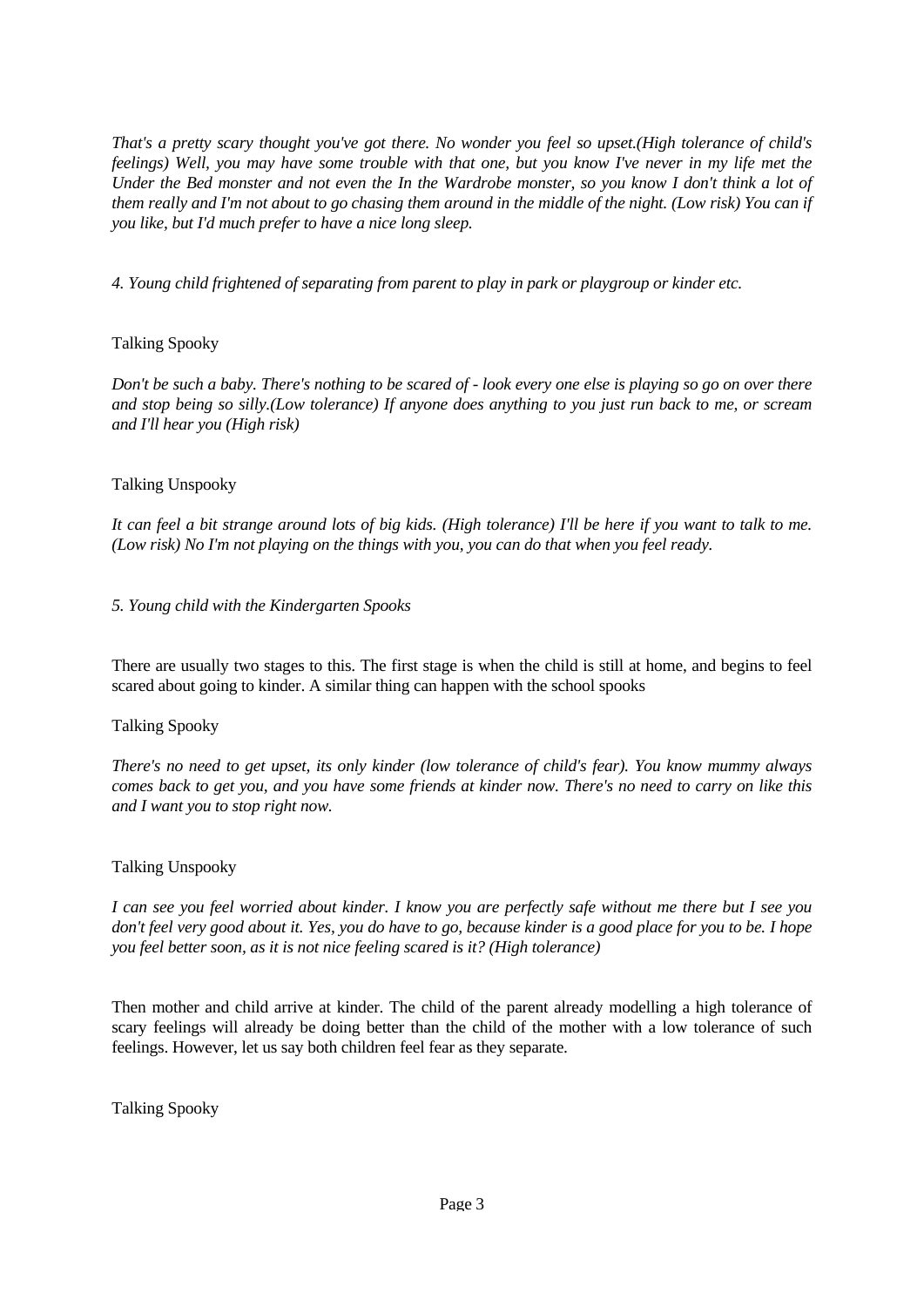*That's a pretty scary thought you've got there. No wonder you feel so upset.(High tolerance of child's feelings) Well, you may have some trouble with that one, but you know I've never in my life met the Under the Bed monster and not even the In the Wardrobe monster, so you know I don't think a lot of them really and I'm not about to go chasing them around in the middle of the night. (Low risk) You can if you like, but I'd much prefer to have a nice long sleep.* 

*4. Young child frightened of separating from parent to play in park or playgroup or kinder etc.* 

# Talking Spooky

*Don't be such a baby. There's nothing to be scared of - look every one else is playing so go on over there and stop being so silly.(Low tolerance) If anyone does anything to you just run back to me, or scream and I'll hear you (High risk)* 

## Talking Unspooky

*It can feel a bit strange around lots of big kids. (High tolerance) I'll be here if you want to talk to me. (Low risk) No I'm not playing on the things with you, you can do that when you feel ready.* 

#### *5. Young child with the Kindergarten Spooks*

There are usually two stages to this. The first stage is when the child is still at home, and begins to feel scared about going to kinder. A similar thing can happen with the school spooks

#### Talking Spooky

*There's no need to get upset, its only kinder (low tolerance of child's fear). You know mummy always comes back to get you, and you have some friends at kinder now. There's no need to carry on like this and I want you to stop right now.* 

#### Talking Unspooky

*I can see you feel worried about kinder. I know you are perfectly safe without me there but I see you don't feel very good about it. Yes, you do have to go, because kinder is a good place for you to be. I hope you feel better soon, as it is not nice feeling scared is it? (High tolerance)* 

Then mother and child arrive at kinder. The child of the parent already modelling a high tolerance of scary feelings will already be doing better than the child of the mother with a low tolerance of such feelings. However, let us say both children feel fear as they separate.

Talking Spooky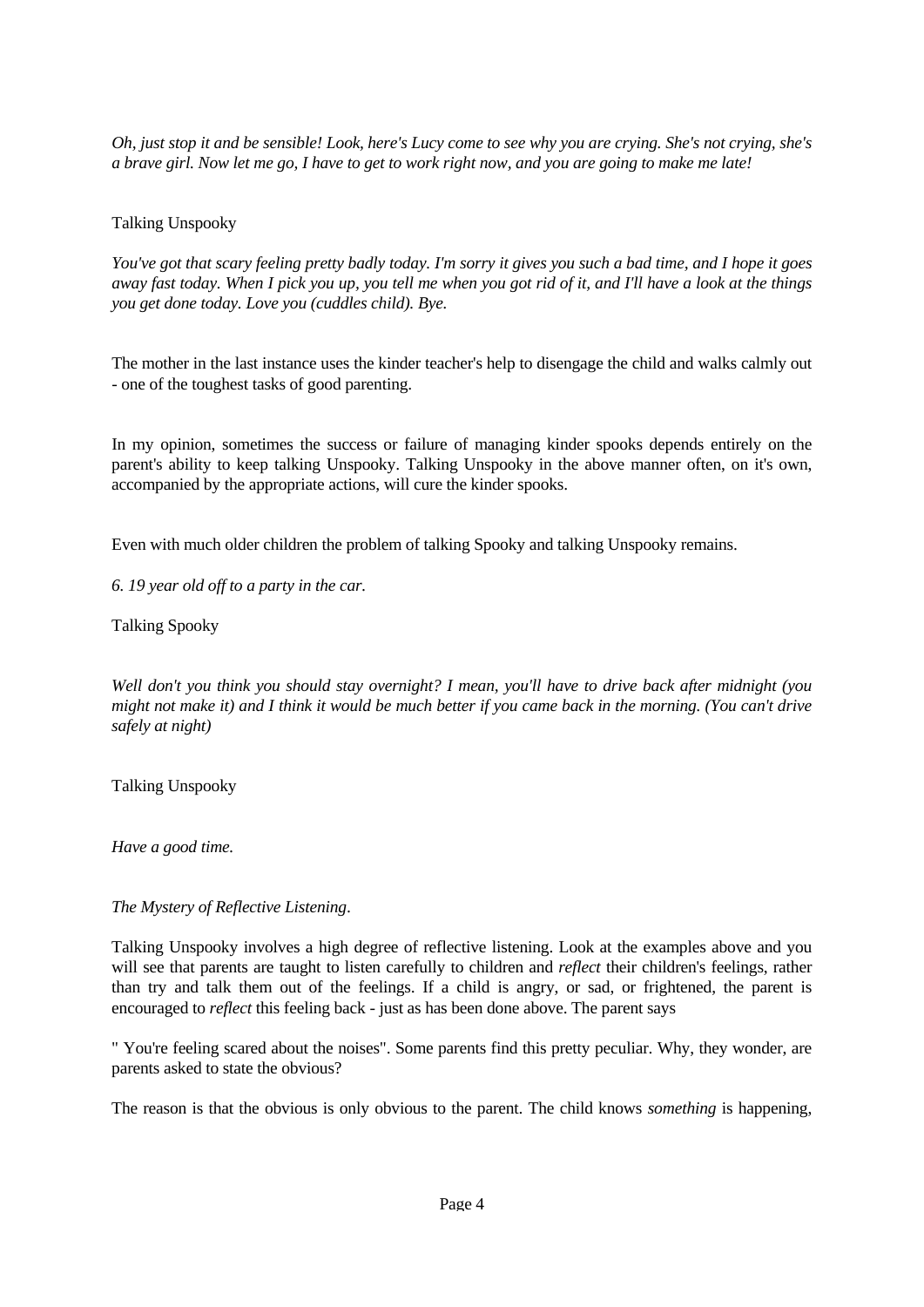*Oh, just stop it and be sensible! Look, here's Lucy come to see why you are crying. She's not crying, she's a brave girl. Now let me go, I have to get to work right now, and you are going to make me late!* 

## Talking Unspooky

*You've got that scary feeling pretty badly today. I'm sorry it gives you such a bad time, and I hope it goes away fast today. When I pick you up, you tell me when you got rid of it, and I'll have a look at the things you get done today. Love you (cuddles child). Bye.* 

The mother in the last instance uses the kinder teacher's help to disengage the child and walks calmly out - one of the toughest tasks of good parenting.

In my opinion, sometimes the success or failure of managing kinder spooks depends entirely on the parent's ability to keep talking Unspooky. Talking Unspooky in the above manner often, on it's own, accompanied by the appropriate actions, will cure the kinder spooks.

Even with much older children the problem of talking Spooky and talking Unspooky remains.

*6. 19 year old off to a party in the car.*

Talking Spooky

*Well don't you think you should stay overnight? I mean, you'll have to drive back after midnight (you might not make it) and I think it would be much better if you came back in the morning. (You can't drive safely at night)* 

Talking Unspooky

*Have a good time.*

*The Mystery of Reflective Listening*.

Talking Unspooky involves a high degree of reflective listening. Look at the examples above and you will see that parents are taught to listen carefully to children and *reflect* their children's feelings, rather than try and talk them out of the feelings. If a child is angry, or sad, or frightened, the parent is encouraged to *reflect* this feeling back - just as has been done above. The parent says

" You're feeling scared about the noises". Some parents find this pretty peculiar. Why, they wonder, are parents asked to state the obvious?

The reason is that the obvious is only obvious to the parent. The child knows *something* is happening,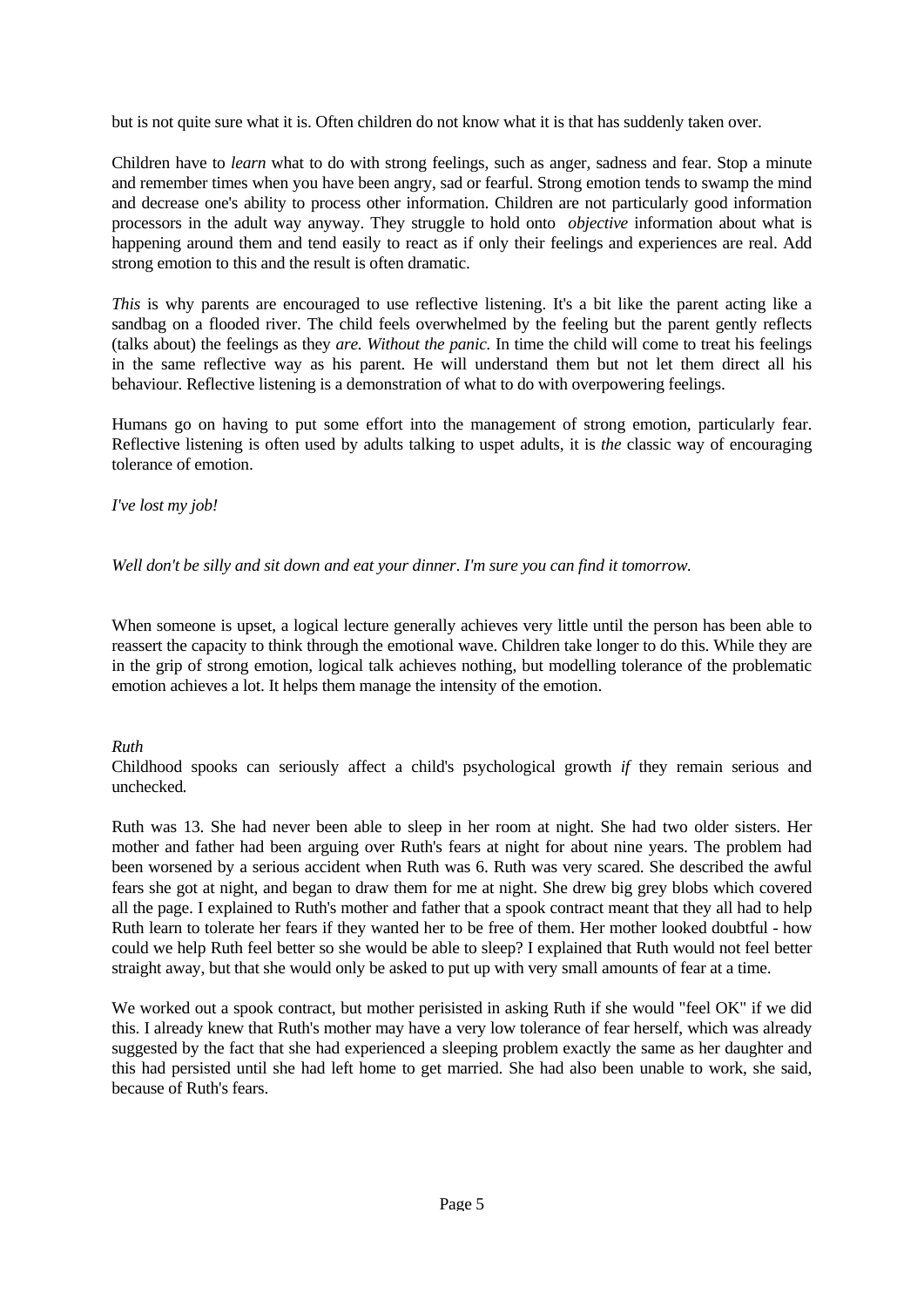but is not quite sure what it is. Often children do not know what it is that has suddenly taken over.

Children have to *learn* what to do with strong feelings, such as anger, sadness and fear. Stop a minute and remember times when you have been angry, sad or fearful. Strong emotion tends to swamp the mind and decrease one's ability to process other information. Children are not particularly good information processors in the adult way anyway. They struggle to hold onto *objective* information about what is happening around them and tend easily to react as if only their feelings and experiences are real. Add strong emotion to this and the result is often dramatic.

*This* is why parents are encouraged to use reflective listening. It's a bit like the parent acting like a sandbag on a flooded river. The child feels overwhelmed by the feeling but the parent gently reflects (talks about) the feelings as they *are. Without the panic.* In time the child will come to treat his feelings in the same reflective way as his parent. He will understand them but not let them direct all his behaviour. Reflective listening is a demonstration of what to do with overpowering feelings.

Humans go on having to put some effort into the management of strong emotion, particularly fear. Reflective listening is often used by adults talking to uspet adults, it is *the* classic way of encouraging tolerance of emotion.

## *I've lost my job!*

*Well don't be silly and sit down and eat your dinner*. *I'm sure you can find it tomorrow.*

When someone is upset, a logical lecture generally achieves very little until the person has been able to reassert the capacity to think through the emotional wave. Children take longer to do this. While they are in the grip of strong emotion, logical talk achieves nothing, but modelling tolerance of the problematic emotion achieves a lot. It helps them manage the intensity of the emotion.

# *Ruth*

Childhood spooks can seriously affect a child's psychological growth *if* they remain serious and unchecked*.* 

Ruth was 13. She had never been able to sleep in her room at night. She had two older sisters. Her mother and father had been arguing over Ruth's fears at night for about nine years. The problem had been worsened by a serious accident when Ruth was 6. Ruth was very scared. She described the awful fears she got at night, and began to draw them for me at night. She drew big grey blobs which covered all the page. I explained to Ruth's mother and father that a spook contract meant that they all had to help Ruth learn to tolerate her fears if they wanted her to be free of them. Her mother looked doubtful - how could we help Ruth feel better so she would be able to sleep? I explained that Ruth would not feel better straight away, but that she would only be asked to put up with very small amounts of fear at a time.

We worked out a spook contract, but mother perisisted in asking Ruth if she would "feel OK" if we did this. I already knew that Ruth's mother may have a very low tolerance of fear herself, which was already suggested by the fact that she had experienced a sleeping problem exactly the same as her daughter and this had persisted until she had left home to get married. She had also been unable to work, she said, because of Ruth's fears.